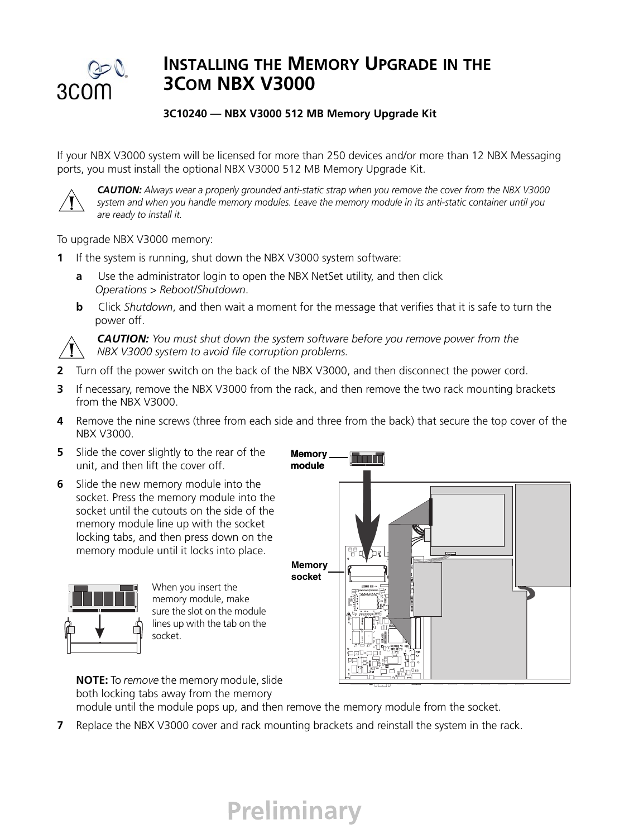

## **INSTALLING THE MEMORY UPGRADE IN THE 3COM NBX V3000**

## **3C10240 — NBX V3000 512 MB Memory Upgrade Kit**

If your NBX V3000 system will be licensed for more than 250 devices and/or more than 12 NBX Messaging ports, you must install the optional NBX V3000 512 MB Memory Upgrade Kit.



*CAUTION: Always wear a properly grounded anti-static strap when you remove the cover from the NBX V3000 system and when you handle memory modules. Leave the memory module in its anti-static container until you are ready to install it.*

To upgrade NBX V3000 memory:

- **1** If the system is running, shut down the NBX V3000 system software:
	- **a** Use the administrator login to open the NBX NetSet utility, and then click *Operations > Reboot/Shutdown*.
	- **b** Click *Shutdown*, and then wait a moment for the message that verifies that it is safe to turn the power off.



*CAUTION: You must shut down the system software before you remove power from the NBX V3000 system to avoid file corruption problems.*

- **2** Turn off the power switch on the back of the NBX V3000, and then disconnect the power cord.
- **3** If necessary, remove the NBX V3000 from the rack, and then remove the two rack mounting brackets from the NBX V3000.
- **4** Remove the nine screws (three from each side and three from the back) that secure the top cover of the NBX V3000.

**Memory** 

- **5** Slide the cover slightly to the rear of the unit, and then lift the cover off.
- **6** Slide the new memory module into the socket. Press the memory module into the socket until the cutouts on the side of the memory module line up with the socket locking tabs, and then press down on the memory module until it locks into place.





When you insert the memory module, make sure the slot on the module lines up with the tab on the socket.

**NOTE:** To *remove* the memory module, slide both locking tabs away from the memory

module until the module pops up, and then remove the memory module from the socket.

**7** Replace the NBX V3000 cover and rack mounting brackets and reinstall the system in the rack.

## **Preliminary**